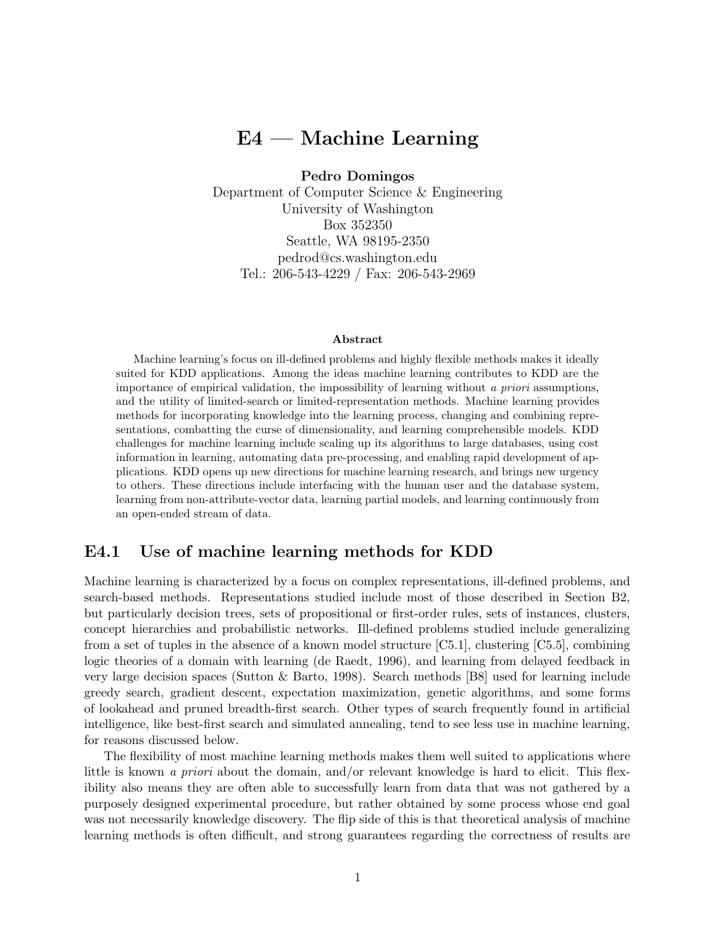# E4 — Machine Learning

Pedro Domingos

Department of Computer Science & Engineering University of Washington Box 352350 Seattle, WA 98195-2350 pedrod@cs.washington.edu Tel.: 206-543-4229 / Fax: 206-543-2969

#### Abstract

Machine learning's focus on ill-defined problems and highly flexible methods makes it ideally suited for KDD applications. Among the ideas machine learning contributes to KDD are the importance of empirical validation, the impossibility of learning without a priori assumptions, and the utility of limited-search or limited-representation methods. Machine learning provides methods for incorporating knowledge into the learning process, changing and combining representations, combatting the curse of dimensionality, and learning comprehensible models. KDD challenges for machine learning include scaling up its algorithms to large databases, using cost information in learning, automating data pre-processing, and enabling rapid development of applications. KDD opens up new directions for machine learning research, and brings new urgency to others. These directions include interfacing with the human user and the database system, learning from non-attribute-vector data, learning partial models, and learning continuously from an open-ended stream of data.

# E4.1 Use of machine learning methods for KDD

Machine learning is characterized by a focus on complex representations, ill-defined problems, and search-based methods. Representations studied include most of those described in Section B2, but particularly decision trees, sets of propositional or first-order rules, sets of instances, clusters, concept hierarchies and probabilistic networks. Ill-defined problems studied include generalizing from a set of tuples in the absence of a known model structure [C5.1], clustering [C5.5], combining logic theories of a domain with learning (de Raedt, 1996), and learning from delayed feedback in very large decision spaces (Sutton & Barto, 1998). Search methods [B8] used for learning include greedy search, gradient descent, expectation maximization, genetic algorithms, and some forms of lookahead and pruned breadth-first search. Other types of search frequently found in artificial intelligence, like best-first search and simulated annealing, tend to see less use in machine learning, for reasons discussed below.

The flexibility of most machine learning methods makes them well suited to applications where little is known a priori about the domain, and/or relevant knowledge is hard to elicit. This flexibility also means they are often able to successfully learn from data that was not gathered by a purposely designed experimental procedure, but rather obtained by some process whose end goal was not necessarily knowledge discovery. The flip side of this is that theoretical analysis of machine learning methods is often difficult, and strong guarantees regarding the correctness of results are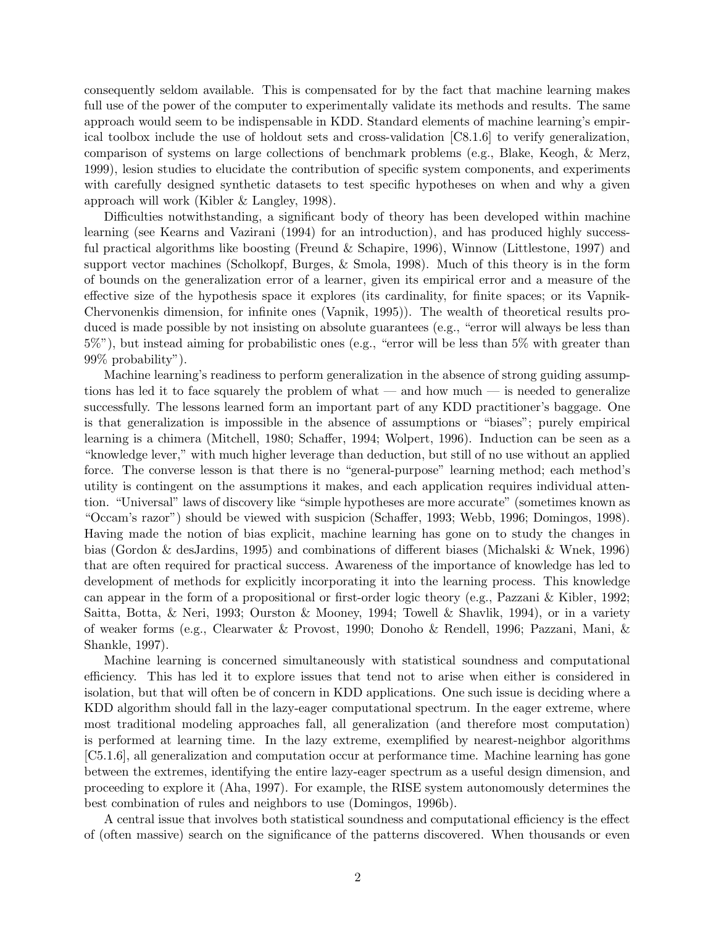consequently seldom available. This is compensated for by the fact that machine learning makes full use of the power of the computer to experimentally validate its methods and results. The same approach would seem to be indispensable in KDD. Standard elements of machine learning's empirical toolbox include the use of holdout sets and cross-validation [C8.1.6] to verify generalization, comparison of systems on large collections of benchmark problems (e.g., Blake, Keogh, & Merz, 1999), lesion studies to elucidate the contribution of specific system components, and experiments with carefully designed synthetic datasets to test specific hypotheses on when and why a given approach will work (Kibler & Langley, 1998).

Difficulties notwithstanding, a significant body of theory has been developed within machine learning (see Kearns and Vazirani (1994) for an introduction), and has produced highly successful practical algorithms like boosting (Freund & Schapire, 1996), Winnow (Littlestone, 1997) and support vector machines (Scholkopf, Burges, & Smola, 1998). Much of this theory is in the form of bounds on the generalization error of a learner, given its empirical error and a measure of the effective size of the hypothesis space it explores (its cardinality, for finite spaces; or its Vapnik-Chervonenkis dimension, for infinite ones (Vapnik, 1995)). The wealth of theoretical results produced is made possible by not insisting on absolute guarantees (e.g., "error will always be less than 5%"), but instead aiming for probabilistic ones (e.g., "error will be less than 5% with greater than 99% probability").

Machine learning's readiness to perform generalization in the absence of strong guiding assumptions has led it to face squarely the problem of what — and how much — is needed to generalize successfully. The lessons learned form an important part of any KDD practitioner's baggage. One is that generalization is impossible in the absence of assumptions or "biases"; purely empirical learning is a chimera (Mitchell, 1980; Schaffer, 1994; Wolpert, 1996). Induction can be seen as a "knowledge lever," with much higher leverage than deduction, but still of no use without an applied force. The converse lesson is that there is no "general-purpose" learning method; each method's utility is contingent on the assumptions it makes, and each application requires individual attention. "Universal" laws of discovery like "simple hypotheses are more accurate" (sometimes known as "Occam's razor") should be viewed with suspicion (Schaffer, 1993; Webb, 1996; Domingos, 1998). Having made the notion of bias explicit, machine learning has gone on to study the changes in bias (Gordon & desJardins, 1995) and combinations of different biases (Michalski & Wnek, 1996) that are often required for practical success. Awareness of the importance of knowledge has led to development of methods for explicitly incorporating it into the learning process. This knowledge can appear in the form of a propositional or first-order logic theory (e.g., Pazzani & Kibler, 1992; Saitta, Botta, & Neri, 1993; Ourston & Mooney, 1994; Towell & Shavlik, 1994), or in a variety of weaker forms (e.g., Clearwater & Provost, 1990; Donoho & Rendell, 1996; Pazzani, Mani, & Shankle, 1997).

Machine learning is concerned simultaneously with statistical soundness and computational efficiency. This has led it to explore issues that tend not to arise when either is considered in isolation, but that will often be of concern in KDD applications. One such issue is deciding where a KDD algorithm should fall in the lazy-eager computational spectrum. In the eager extreme, where most traditional modeling approaches fall, all generalization (and therefore most computation) is performed at learning time. In the lazy extreme, exemplified by nearest-neighbor algorithms [C5.1.6], all generalization and computation occur at performance time. Machine learning has gone between the extremes, identifying the entire lazy-eager spectrum as a useful design dimension, and proceeding to explore it (Aha, 1997). For example, the RISE system autonomously determines the best combination of rules and neighbors to use (Domingos, 1996b).

A central issue that involves both statistical soundness and computational efficiency is the effect of (often massive) search on the significance of the patterns discovered. When thousands or even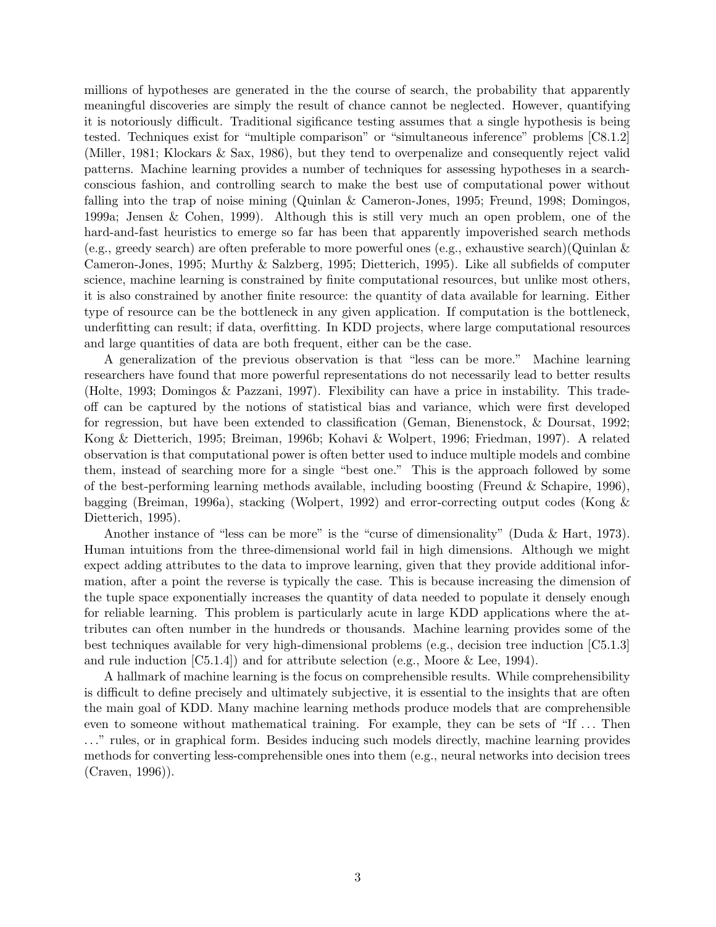millions of hypotheses are generated in the the course of search, the probability that apparently meaningful discoveries are simply the result of chance cannot be neglected. However, quantifying it is notoriously difficult. Traditional sigificance testing assumes that a single hypothesis is being tested. Techniques exist for "multiple comparison" or "simultaneous inference" problems [C8.1.2] (Miller, 1981; Klockars & Sax, 1986), but they tend to overpenalize and consequently reject valid patterns. Machine learning provides a number of techniques for assessing hypotheses in a searchconscious fashion, and controlling search to make the best use of computational power without falling into the trap of noise mining (Quinlan & Cameron-Jones, 1995; Freund, 1998; Domingos, 1999a; Jensen & Cohen, 1999). Although this is still very much an open problem, one of the hard-and-fast heuristics to emerge so far has been that apparently impoverished search methods (e.g., greedy search) are often preferable to more powerful ones (e.g., exhaustive search)(Quinlan & Cameron-Jones, 1995; Murthy & Salzberg, 1995; Dietterich, 1995). Like all subfields of computer science, machine learning is constrained by finite computational resources, but unlike most others, it is also constrained by another finite resource: the quantity of data available for learning. Either type of resource can be the bottleneck in any given application. If computation is the bottleneck, underfitting can result; if data, overfitting. In KDD projects, where large computational resources and large quantities of data are both frequent, either can be the case.

A generalization of the previous observation is that "less can be more." Machine learning researchers have found that more powerful representations do not necessarily lead to better results (Holte, 1993; Domingos & Pazzani, 1997). Flexibility can have a price in instability. This tradeoff can be captured by the notions of statistical bias and variance, which were first developed for regression, but have been extended to classification (Geman, Bienenstock, & Doursat, 1992; Kong & Dietterich, 1995; Breiman, 1996b; Kohavi & Wolpert, 1996; Friedman, 1997). A related observation is that computational power is often better used to induce multiple models and combine them, instead of searching more for a single "best one." This is the approach followed by some of the best-performing learning methods available, including boosting (Freund & Schapire, 1996), bagging (Breiman, 1996a), stacking (Wolpert, 1992) and error-correcting output codes (Kong & Dietterich, 1995).

Another instance of "less can be more" is the "curse of dimensionality" (Duda & Hart, 1973). Human intuitions from the three-dimensional world fail in high dimensions. Although we might expect adding attributes to the data to improve learning, given that they provide additional information, after a point the reverse is typically the case. This is because increasing the dimension of the tuple space exponentially increases the quantity of data needed to populate it densely enough for reliable learning. This problem is particularly acute in large KDD applications where the attributes can often number in the hundreds or thousands. Machine learning provides some of the best techniques available for very high-dimensional problems (e.g., decision tree induction [C5.1.3] and rule induction [C5.1.4]) and for attribute selection (e.g., Moore & Lee, 1994).

A hallmark of machine learning is the focus on comprehensible results. While comprehensibility is difficult to define precisely and ultimately subjective, it is essential to the insights that are often the main goal of KDD. Many machine learning methods produce models that are comprehensible even to someone without mathematical training. For example, they can be sets of "If . . . Then . . ." rules, or in graphical form. Besides inducing such models directly, machine learning provides methods for converting less-comprehensible ones into them (e.g., neural networks into decision trees (Craven, 1996)).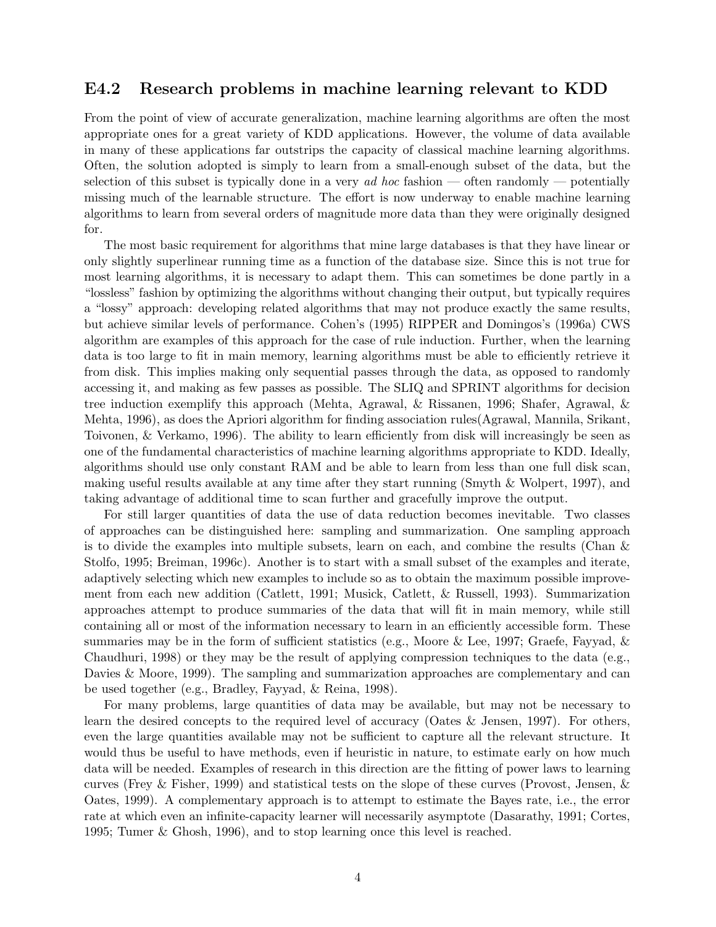### E4.2 Research problems in machine learning relevant to KDD

From the point of view of accurate generalization, machine learning algorithms are often the most appropriate ones for a great variety of KDD applications. However, the volume of data available in many of these applications far outstrips the capacity of classical machine learning algorithms. Often, the solution adopted is simply to learn from a small-enough subset of the data, but the selection of this subset is typically done in a very *ad hoc* fashion — often randomly — potentially missing much of the learnable structure. The effort is now underway to enable machine learning algorithms to learn from several orders of magnitude more data than they were originally designed for.

The most basic requirement for algorithms that mine large databases is that they have linear or only slightly superlinear running time as a function of the database size. Since this is not true for most learning algorithms, it is necessary to adapt them. This can sometimes be done partly in a "lossless" fashion by optimizing the algorithms without changing their output, but typically requires a "lossy" approach: developing related algorithms that may not produce exactly the same results, but achieve similar levels of performance. Cohen's (1995) RIPPER and Domingos's (1996a) CWS algorithm are examples of this approach for the case of rule induction. Further, when the learning data is too large to fit in main memory, learning algorithms must be able to efficiently retrieve it from disk. This implies making only sequential passes through the data, as opposed to randomly accessing it, and making as few passes as possible. The SLIQ and SPRINT algorithms for decision tree induction exemplify this approach (Mehta, Agrawal, & Rissanen, 1996; Shafer, Agrawal, & Mehta, 1996), as does the Apriori algorithm for finding association rules(Agrawal, Mannila, Srikant, Toivonen, & Verkamo, 1996). The ability to learn efficiently from disk will increasingly be seen as one of the fundamental characteristics of machine learning algorithms appropriate to KDD. Ideally, algorithms should use only constant RAM and be able to learn from less than one full disk scan, making useful results available at any time after they start running (Smyth & Wolpert, 1997), and taking advantage of additional time to scan further and gracefully improve the output.

For still larger quantities of data the use of data reduction becomes inevitable. Two classes of approaches can be distinguished here: sampling and summarization. One sampling approach is to divide the examples into multiple subsets, learn on each, and combine the results (Chan & Stolfo, 1995; Breiman, 1996c). Another is to start with a small subset of the examples and iterate, adaptively selecting which new examples to include so as to obtain the maximum possible improvement from each new addition (Catlett, 1991; Musick, Catlett, & Russell, 1993). Summarization approaches attempt to produce summaries of the data that will fit in main memory, while still containing all or most of the information necessary to learn in an efficiently accessible form. These summaries may be in the form of sufficient statistics (e.g., Moore & Lee, 1997; Graefe, Fayyad, & Chaudhuri, 1998) or they may be the result of applying compression techniques to the data (e.g., Davies & Moore, 1999). The sampling and summarization approaches are complementary and can be used together (e.g., Bradley, Fayyad, & Reina, 1998).

For many problems, large quantities of data may be available, but may not be necessary to learn the desired concepts to the required level of accuracy (Oates & Jensen, 1997). For others, even the large quantities available may not be sufficient to capture all the relevant structure. It would thus be useful to have methods, even if heuristic in nature, to estimate early on how much data will be needed. Examples of research in this direction are the fitting of power laws to learning curves (Frey & Fisher, 1999) and statistical tests on the slope of these curves (Provost, Jensen, & Oates, 1999). A complementary approach is to attempt to estimate the Bayes rate, i.e., the error rate at which even an infinite-capacity learner will necessarily asymptote (Dasarathy, 1991; Cortes, 1995; Tumer & Ghosh, 1996), and to stop learning once this level is reached.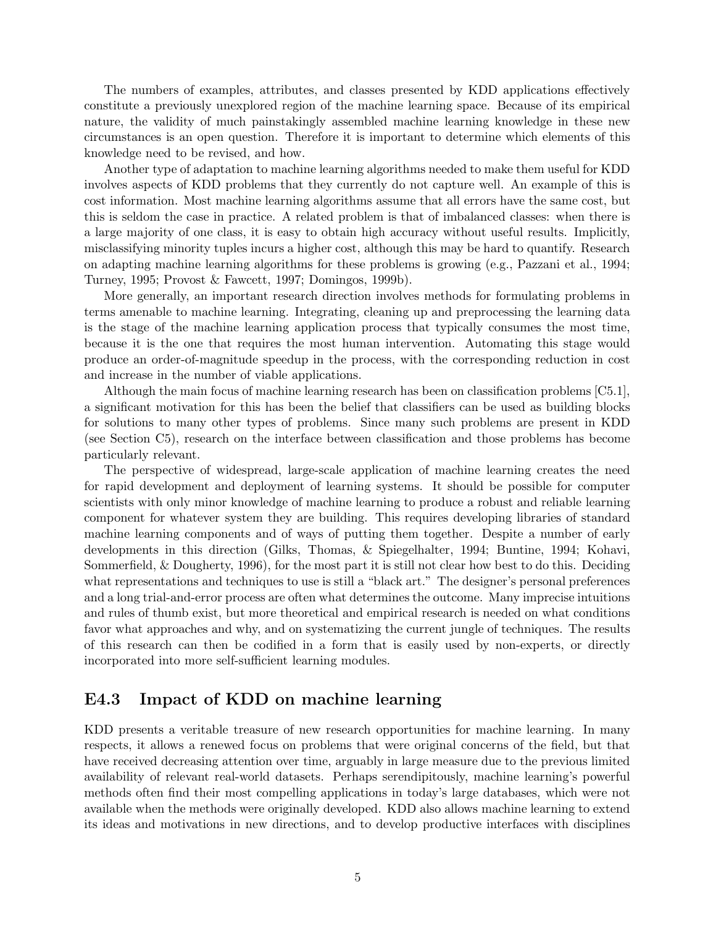The numbers of examples, attributes, and classes presented by KDD applications effectively constitute a previously unexplored region of the machine learning space. Because of its empirical nature, the validity of much painstakingly assembled machine learning knowledge in these new circumstances is an open question. Therefore it is important to determine which elements of this knowledge need to be revised, and how.

Another type of adaptation to machine learning algorithms needed to make them useful for KDD involves aspects of KDD problems that they currently do not capture well. An example of this is cost information. Most machine learning algorithms assume that all errors have the same cost, but this is seldom the case in practice. A related problem is that of imbalanced classes: when there is a large majority of one class, it is easy to obtain high accuracy without useful results. Implicitly, misclassifying minority tuples incurs a higher cost, although this may be hard to quantify. Research on adapting machine learning algorithms for these problems is growing (e.g., Pazzani et al., 1994; Turney, 1995; Provost & Fawcett, 1997; Domingos, 1999b).

More generally, an important research direction involves methods for formulating problems in terms amenable to machine learning. Integrating, cleaning up and preprocessing the learning data is the stage of the machine learning application process that typically consumes the most time, because it is the one that requires the most human intervention. Automating this stage would produce an order-of-magnitude speedup in the process, with the corresponding reduction in cost and increase in the number of viable applications.

Although the main focus of machine learning research has been on classification problems [C5.1], a significant motivation for this has been the belief that classifiers can be used as building blocks for solutions to many other types of problems. Since many such problems are present in KDD (see Section C5), research on the interface between classification and those problems has become particularly relevant.

The perspective of widespread, large-scale application of machine learning creates the need for rapid development and deployment of learning systems. It should be possible for computer scientists with only minor knowledge of machine learning to produce a robust and reliable learning component for whatever system they are building. This requires developing libraries of standard machine learning components and of ways of putting them together. Despite a number of early developments in this direction (Gilks, Thomas, & Spiegelhalter, 1994; Buntine, 1994; Kohavi, Sommerfield, & Dougherty, 1996), for the most part it is still not clear how best to do this. Deciding what representations and techniques to use is still a "black art." The designer's personal preferences and a long trial-and-error process are often what determines the outcome. Many imprecise intuitions and rules of thumb exist, but more theoretical and empirical research is needed on what conditions favor what approaches and why, and on systematizing the current jungle of techniques. The results of this research can then be codified in a form that is easily used by non-experts, or directly incorporated into more self-sufficient learning modules.

### E4.3 Impact of KDD on machine learning

KDD presents a veritable treasure of new research opportunities for machine learning. In many respects, it allows a renewed focus on problems that were original concerns of the field, but that have received decreasing attention over time, arguably in large measure due to the previous limited availability of relevant real-world datasets. Perhaps serendipitously, machine learning's powerful methods often find their most compelling applications in today's large databases, which were not available when the methods were originally developed. KDD also allows machine learning to extend its ideas and motivations in new directions, and to develop productive interfaces with disciplines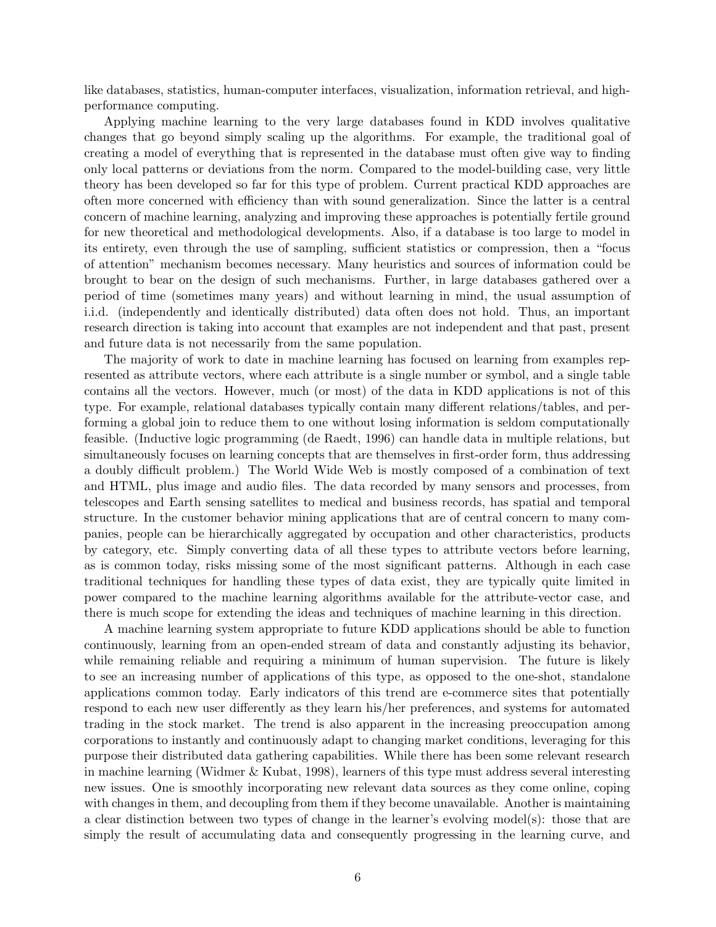like databases, statistics, human-computer interfaces, visualization, information retrieval, and highperformance computing.

Applying machine learning to the very large databases found in KDD involves qualitative changes that go beyond simply scaling up the algorithms. For example, the traditional goal of creating a model of everything that is represented in the database must often give way to finding only local patterns or deviations from the norm. Compared to the model-building case, very little theory has been developed so far for this type of problem. Current practical KDD approaches are often more concerned with efficiency than with sound generalization. Since the latter is a central concern of machine learning, analyzing and improving these approaches is potentially fertile ground for new theoretical and methodological developments. Also, if a database is too large to model in its entirety, even through the use of sampling, sufficient statistics or compression, then a "focus of attention" mechanism becomes necessary. Many heuristics and sources of information could be brought to bear on the design of such mechanisms. Further, in large databases gathered over a period of time (sometimes many years) and without learning in mind, the usual assumption of i.i.d. (independently and identically distributed) data often does not hold. Thus, an important research direction is taking into account that examples are not independent and that past, present and future data is not necessarily from the same population.

The majority of work to date in machine learning has focused on learning from examples represented as attribute vectors, where each attribute is a single number or symbol, and a single table contains all the vectors. However, much (or most) of the data in KDD applications is not of this type. For example, relational databases typically contain many different relations/tables, and performing a global join to reduce them to one without losing information is seldom computationally feasible. (Inductive logic programming (de Raedt, 1996) can handle data in multiple relations, but simultaneously focuses on learning concepts that are themselves in first-order form, thus addressing a doubly difficult problem.) The World Wide Web is mostly composed of a combination of text and HTML, plus image and audio files. The data recorded by many sensors and processes, from telescopes and Earth sensing satellites to medical and business records, has spatial and temporal structure. In the customer behavior mining applications that are of central concern to many companies, people can be hierarchically aggregated by occupation and other characteristics, products by category, etc. Simply converting data of all these types to attribute vectors before learning, as is common today, risks missing some of the most significant patterns. Although in each case traditional techniques for handling these types of data exist, they are typically quite limited in power compared to the machine learning algorithms available for the attribute-vector case, and there is much scope for extending the ideas and techniques of machine learning in this direction.

A machine learning system appropriate to future KDD applications should be able to function continuously, learning from an open-ended stream of data and constantly adjusting its behavior, while remaining reliable and requiring a minimum of human supervision. The future is likely to see an increasing number of applications of this type, as opposed to the one-shot, standalone applications common today. Early indicators of this trend are e-commerce sites that potentially respond to each new user differently as they learn his/her preferences, and systems for automated trading in the stock market. The trend is also apparent in the increasing preoccupation among corporations to instantly and continuously adapt to changing market conditions, leveraging for this purpose their distributed data gathering capabilities. While there has been some relevant research in machine learning (Widmer & Kubat, 1998), learners of this type must address several interesting new issues. One is smoothly incorporating new relevant data sources as they come online, coping with changes in them, and decoupling from them if they become unavailable. Another is maintaining a clear distinction between two types of change in the learner's evolving model(s): those that are simply the result of accumulating data and consequently progressing in the learning curve, and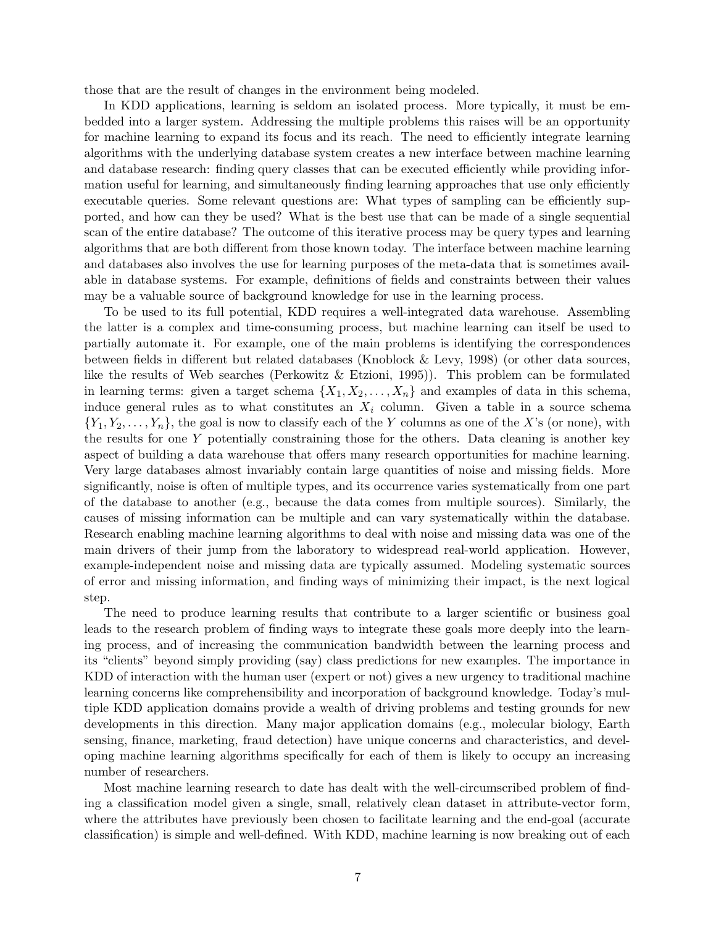those that are the result of changes in the environment being modeled.

In KDD applications, learning is seldom an isolated process. More typically, it must be embedded into a larger system. Addressing the multiple problems this raises will be an opportunity for machine learning to expand its focus and its reach. The need to efficiently integrate learning algorithms with the underlying database system creates a new interface between machine learning and database research: finding query classes that can be executed efficiently while providing information useful for learning, and simultaneously finding learning approaches that use only efficiently executable queries. Some relevant questions are: What types of sampling can be efficiently supported, and how can they be used? What is the best use that can be made of a single sequential scan of the entire database? The outcome of this iterative process may be query types and learning algorithms that are both different from those known today. The interface between machine learning and databases also involves the use for learning purposes of the meta-data that is sometimes available in database systems. For example, definitions of fields and constraints between their values may be a valuable source of background knowledge for use in the learning process.

To be used to its full potential, KDD requires a well-integrated data warehouse. Assembling the latter is a complex and time-consuming process, but machine learning can itself be used to partially automate it. For example, one of the main problems is identifying the correspondences between fields in different but related databases (Knoblock & Levy, 1998) (or other data sources, like the results of Web searches (Perkowitz & Etzioni, 1995)). This problem can be formulated in learning terms: given a target schema  $\{X_1, X_2, \ldots, X_n\}$  and examples of data in this schema, induce general rules as to what constitutes an  $X_i$  column. Given a table in a source schema  $\{Y_1, Y_2, \ldots, Y_n\}$ , the goal is now to classify each of the Y columns as one of the X's (or none), with the results for one Y potentially constraining those for the others. Data cleaning is another key aspect of building a data warehouse that offers many research opportunities for machine learning. Very large databases almost invariably contain large quantities of noise and missing fields. More significantly, noise is often of multiple types, and its occurrence varies systematically from one part of the database to another (e.g., because the data comes from multiple sources). Similarly, the causes of missing information can be multiple and can vary systematically within the database. Research enabling machine learning algorithms to deal with noise and missing data was one of the main drivers of their jump from the laboratory to widespread real-world application. However, example-independent noise and missing data are typically assumed. Modeling systematic sources of error and missing information, and finding ways of minimizing their impact, is the next logical step.

The need to produce learning results that contribute to a larger scientific or business goal leads to the research problem of finding ways to integrate these goals more deeply into the learning process, and of increasing the communication bandwidth between the learning process and its "clients" beyond simply providing (say) class predictions for new examples. The importance in KDD of interaction with the human user (expert or not) gives a new urgency to traditional machine learning concerns like comprehensibility and incorporation of background knowledge. Today's multiple KDD application domains provide a wealth of driving problems and testing grounds for new developments in this direction. Many major application domains (e.g., molecular biology, Earth sensing, finance, marketing, fraud detection) have unique concerns and characteristics, and developing machine learning algorithms specifically for each of them is likely to occupy an increasing number of researchers.

Most machine learning research to date has dealt with the well-circumscribed problem of finding a classification model given a single, small, relatively clean dataset in attribute-vector form, where the attributes have previously been chosen to facilitate learning and the end-goal (accurate classification) is simple and well-defined. With KDD, machine learning is now breaking out of each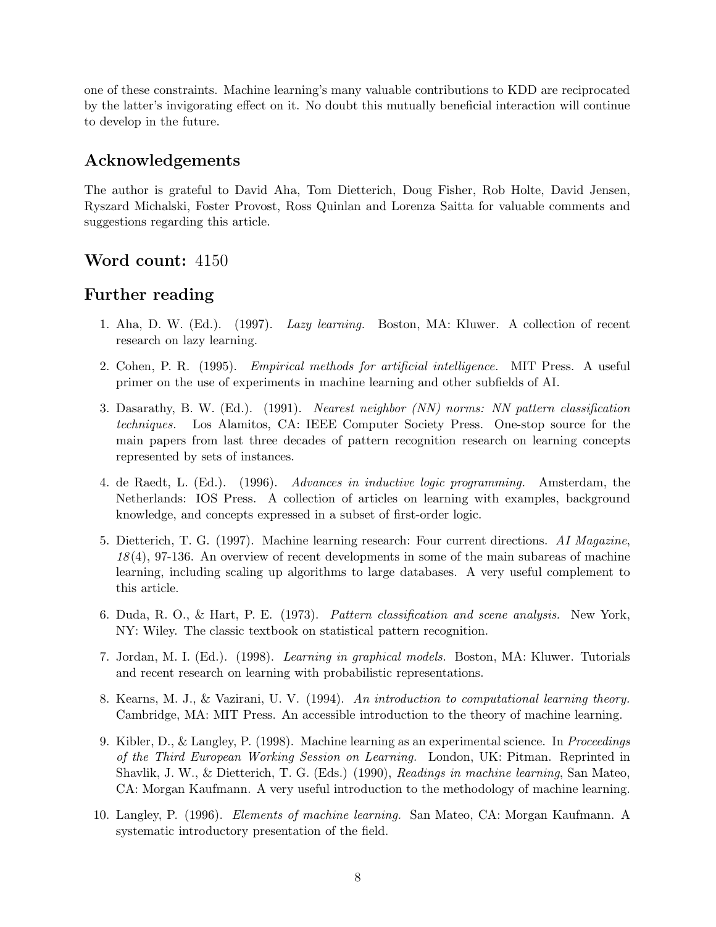one of these constraints. Machine learning's many valuable contributions to KDD are reciprocated by the latter's invigorating effect on it. No doubt this mutually beneficial interaction will continue to develop in the future.

# Acknowledgements

The author is grateful to David Aha, Tom Dietterich, Doug Fisher, Rob Holte, David Jensen, Ryszard Michalski, Foster Provost, Ross Quinlan and Lorenza Saitta for valuable comments and suggestions regarding this article.

# Word count: 4150

# Further reading

- 1. Aha, D. W. (Ed.). (1997). Lazy learning. Boston, MA: Kluwer. A collection of recent research on lazy learning.
- 2. Cohen, P. R. (1995). Empirical methods for artificial intelligence. MIT Press. A useful primer on the use of experiments in machine learning and other subfields of AI.
- 3. Dasarathy, B. W. (Ed.). (1991). Nearest neighbor (NN) norms: NN pattern classification techniques. Los Alamitos, CA: IEEE Computer Society Press. One-stop source for the main papers from last three decades of pattern recognition research on learning concepts represented by sets of instances.
- 4. de Raedt, L. (Ed.). (1996). Advances in inductive logic programming. Amsterdam, the Netherlands: IOS Press. A collection of articles on learning with examples, background knowledge, and concepts expressed in a subset of first-order logic.
- 5. Dietterich, T. G. (1997). Machine learning research: Four current directions. AI Magazine, 18 (4), 97-136. An overview of recent developments in some of the main subareas of machine learning, including scaling up algorithms to large databases. A very useful complement to this article.
- 6. Duda, R. O., & Hart, P. E. (1973). Pattern classification and scene analysis. New York, NY: Wiley. The classic textbook on statistical pattern recognition.
- 7. Jordan, M. I. (Ed.). (1998). Learning in graphical models. Boston, MA: Kluwer. Tutorials and recent research on learning with probabilistic representations.
- 8. Kearns, M. J., & Vazirani, U. V. (1994). An introduction to computational learning theory. Cambridge, MA: MIT Press. An accessible introduction to the theory of machine learning.
- 9. Kibler, D., & Langley, P. (1998). Machine learning as an experimental science. In Proceedings of the Third European Working Session on Learning. London, UK: Pitman. Reprinted in Shavlik, J. W., & Dietterich, T. G. (Eds.) (1990), Readings in machine learning, San Mateo, CA: Morgan Kaufmann. A very useful introduction to the methodology of machine learning.
- 10. Langley, P. (1996). Elements of machine learning. San Mateo, CA: Morgan Kaufmann. A systematic introductory presentation of the field.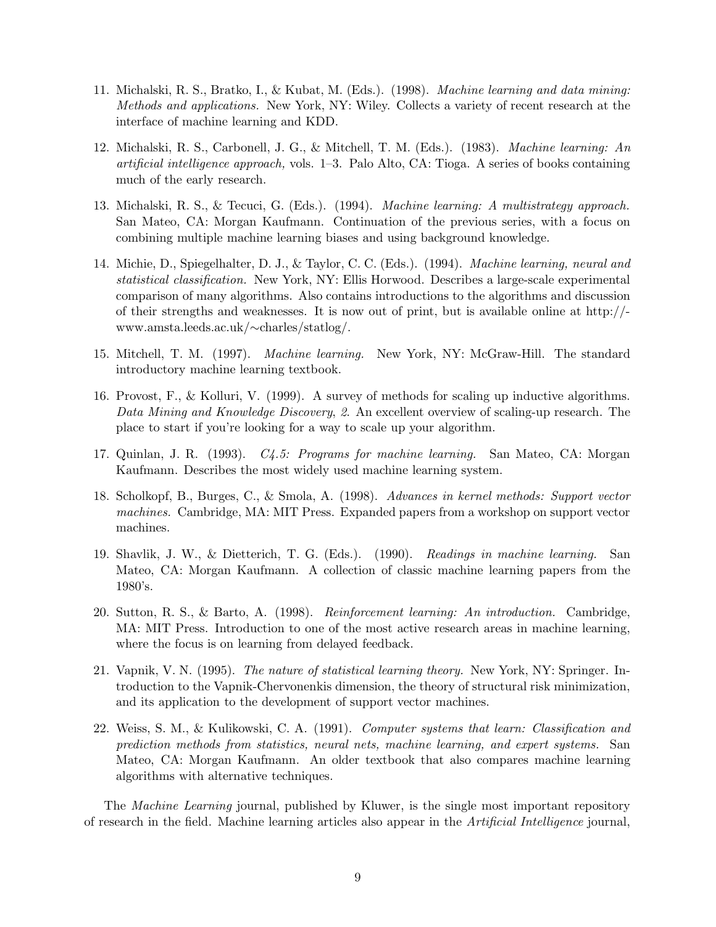- 11. Michalski, R. S., Bratko, I., & Kubat, M. (Eds.). (1998). Machine learning and data mining: Methods and applications. New York, NY: Wiley. Collects a variety of recent research at the interface of machine learning and KDD.
- 12. Michalski, R. S., Carbonell, J. G., & Mitchell, T. M. (Eds.). (1983). Machine learning: An artificial intelligence approach, vols. 1–3. Palo Alto, CA: Tioga. A series of books containing much of the early research.
- 13. Michalski, R. S., & Tecuci, G. (Eds.). (1994). Machine learning: A multistrategy approach. San Mateo, CA: Morgan Kaufmann. Continuation of the previous series, with a focus on combining multiple machine learning biases and using background knowledge.
- 14. Michie, D., Spiegelhalter, D. J., & Taylor, C. C. (Eds.). (1994). Machine learning, neural and statistical classification. New York, NY: Ellis Horwood. Describes a large-scale experimental comparison of many algorithms. Also contains introductions to the algorithms and discussion of their strengths and weaknesses. It is now out of print, but is available online at http:// www.amsta.leeds.ac.uk/∼charles/statlog/.
- 15. Mitchell, T. M. (1997). Machine learning. New York, NY: McGraw-Hill. The standard introductory machine learning textbook.
- 16. Provost, F., & Kolluri, V. (1999). A survey of methods for scaling up inductive algorithms. Data Mining and Knowledge Discovery, 2. An excellent overview of scaling-up research. The place to start if you're looking for a way to scale up your algorithm.
- 17. Quinlan, J. R. (1993). C4.5: Programs for machine learning. San Mateo, CA: Morgan Kaufmann. Describes the most widely used machine learning system.
- 18. Scholkopf, B., Burges, C., & Smola, A. (1998). Advances in kernel methods: Support vector machines. Cambridge, MA: MIT Press. Expanded papers from a workshop on support vector machines.
- 19. Shavlik, J. W., & Dietterich, T. G. (Eds.). (1990). Readings in machine learning. San Mateo, CA: Morgan Kaufmann. A collection of classic machine learning papers from the 1980's.
- 20. Sutton, R. S., & Barto, A. (1998). Reinforcement learning: An introduction. Cambridge, MA: MIT Press. Introduction to one of the most active research areas in machine learning, where the focus is on learning from delayed feedback.
- 21. Vapnik, V. N. (1995). The nature of statistical learning theory. New York, NY: Springer. Introduction to the Vapnik-Chervonenkis dimension, the theory of structural risk minimization, and its application to the development of support vector machines.
- 22. Weiss, S. M., & Kulikowski, C. A. (1991). Computer systems that learn: Classification and prediction methods from statistics, neural nets, machine learning, and expert systems. San Mateo, CA: Morgan Kaufmann. An older textbook that also compares machine learning algorithms with alternative techniques.

The Machine Learning journal, published by Kluwer, is the single most important repository of research in the field. Machine learning articles also appear in the Artificial Intelligence journal,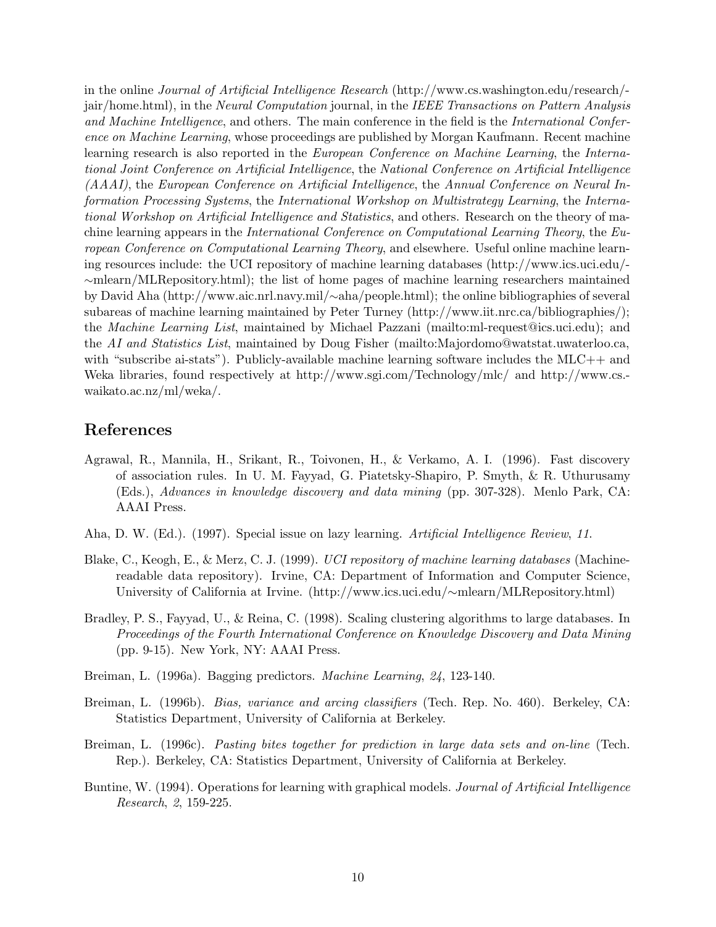in the online Journal of Artificial Intelligence Research (http://www.cs.washington.edu/research/ jair/home.html), in the Neural Computation journal, in the IEEE Transactions on Pattern Analysis and Machine Intelligence, and others. The main conference in the field is the International Conference on Machine Learning, whose proceedings are published by Morgan Kaufmann. Recent machine learning research is also reported in the European Conference on Machine Learning, the International Joint Conference on Artificial Intelligence, the National Conference on Artificial Intelligence (AAAI), the European Conference on Artificial Intelligence, the Annual Conference on Neural Information Processing Systems, the International Workshop on Multistrategy Learning, the International Workshop on Artificial Intelligence and Statistics, and others. Research on the theory of machine learning appears in the International Conference on Computational Learning Theory, the European Conference on Computational Learning Theory, and elsewhere. Useful online machine learning resources include: the UCI repository of machine learning databases (http://www.ics.uci.edu/- ∼mlearn/MLRepository.html); the list of home pages of machine learning researchers maintained by David Aha (http://www.aic.nrl.navy.mil/∼aha/people.html); the online bibliographies of several subareas of machine learning maintained by Peter Turney (http://www.iit.nrc.ca/bibliographies/); the Machine Learning List, maintained by Michael Pazzani (mailto:ml-request@ics.uci.edu); and the AI and Statistics List, maintained by Doug Fisher (mailto:Majordomo@watstat.uwaterloo.ca, with "subscribe ai-stats"). Publicly-available machine learning software includes the  $MLC++$  and Weka libraries, found respectively at http://www.sgi.com/Technology/mlc/ and http://www.cs. waikato.ac.nz/ml/weka/.

# References

- Agrawal, R., Mannila, H., Srikant, R., Toivonen, H., & Verkamo, A. I. (1996). Fast discovery of association rules. In U. M. Fayyad, G. Piatetsky-Shapiro, P. Smyth, & R. Uthurusamy (Eds.), Advances in knowledge discovery and data mining (pp. 307-328). Menlo Park, CA: AAAI Press.
- Aha, D. W. (Ed.). (1997). Special issue on lazy learning. Artificial Intelligence Review, 11.
- Blake, C., Keogh, E., & Merz, C. J. (1999). UCI repository of machine learning databases (Machinereadable data repository). Irvine, CA: Department of Information and Computer Science, University of California at Irvine. (http://www.ics.uci.edu/∼mlearn/MLRepository.html)
- Bradley, P. S., Fayyad, U., & Reina, C. (1998). Scaling clustering algorithms to large databases. In Proceedings of the Fourth International Conference on Knowledge Discovery and Data Mining (pp. 9-15). New York, NY: AAAI Press.
- Breiman, L. (1996a). Bagging predictors. Machine Learning, 24, 123-140.
- Breiman, L. (1996b). *Bias, variance and arcing classifiers* (Tech. Rep. No. 460). Berkeley, CA: Statistics Department, University of California at Berkeley.
- Breiman, L. (1996c). Pasting bites together for prediction in large data sets and on-line (Tech. Rep.). Berkeley, CA: Statistics Department, University of California at Berkeley.
- Buntine, W. (1994). Operations for learning with graphical models. Journal of Artificial Intelligence Research, 2, 159-225.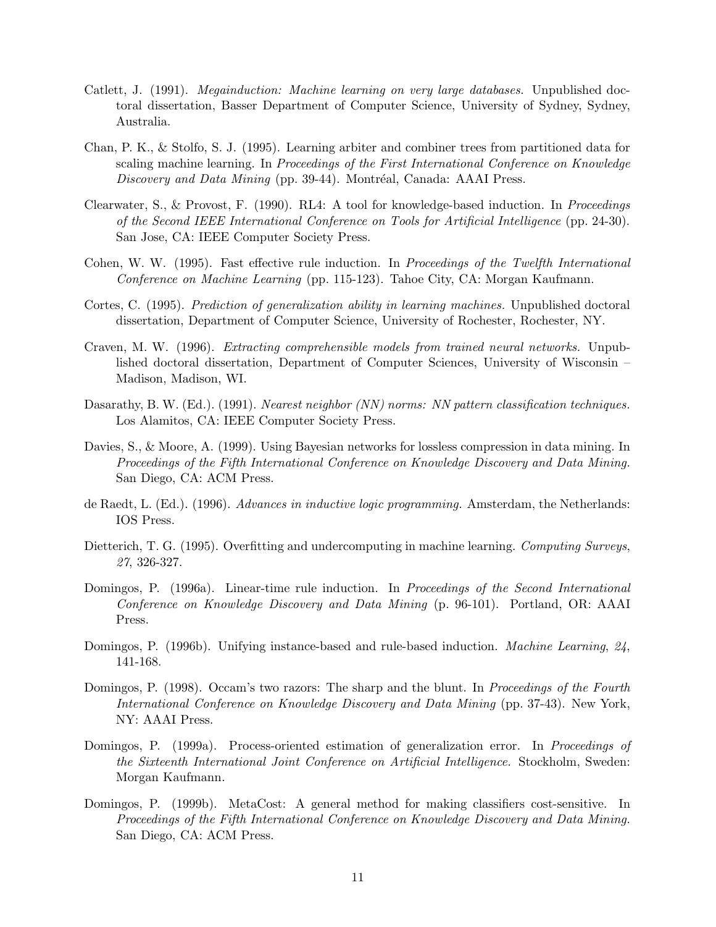- Catlett, J. (1991). Megainduction: Machine learning on very large databases. Unpublished doctoral dissertation, Basser Department of Computer Science, University of Sydney, Sydney, Australia.
- Chan, P. K., & Stolfo, S. J. (1995). Learning arbiter and combiner trees from partitioned data for scaling machine learning. In Proceedings of the First International Conference on Knowledge Discovery and Data Mining (pp. 39-44). Montréal, Canada: AAAI Press.
- Clearwater, S., & Provost, F. (1990). RL4: A tool for knowledge-based induction. In Proceedings of the Second IEEE International Conference on Tools for Artificial Intelligence (pp. 24-30). San Jose, CA: IEEE Computer Society Press.
- Cohen, W. W. (1995). Fast effective rule induction. In Proceedings of the Twelfth International Conference on Machine Learning (pp. 115-123). Tahoe City, CA: Morgan Kaufmann.
- Cortes, C. (1995). Prediction of generalization ability in learning machines. Unpublished doctoral dissertation, Department of Computer Science, University of Rochester, Rochester, NY.
- Craven, M. W. (1996). Extracting comprehensible models from trained neural networks. Unpublished doctoral dissertation, Department of Computer Sciences, University of Wisconsin – Madison, Madison, WI.
- Dasarathy, B. W. (Ed.). (1991). *Nearest neighbor (NN) norms: NN pattern classification techniques.* Los Alamitos, CA: IEEE Computer Society Press.
- Davies, S., & Moore, A. (1999). Using Bayesian networks for lossless compression in data mining. In Proceedings of the Fifth International Conference on Knowledge Discovery and Data Mining. San Diego, CA: ACM Press.
- de Raedt, L. (Ed.). (1996). Advances in inductive logic programming. Amsterdam, the Netherlands: IOS Press.
- Dietterich, T. G. (1995). Overfitting and undercomputing in machine learning. Computing Surveys, 27, 326-327.
- Domingos, P. (1996a). Linear-time rule induction. In Proceedings of the Second International Conference on Knowledge Discovery and Data Mining (p. 96-101). Portland, OR: AAAI Press.
- Domingos, P. (1996b). Unifying instance-based and rule-based induction. Machine Learning, 24, 141-168.
- Domingos, P. (1998). Occam's two razors: The sharp and the blunt. In Proceedings of the Fourth International Conference on Knowledge Discovery and Data Mining (pp. 37-43). New York, NY: AAAI Press.
- Domingos, P. (1999a). Process-oriented estimation of generalization error. In Proceedings of the Sixteenth International Joint Conference on Artificial Intelligence. Stockholm, Sweden: Morgan Kaufmann.
- Domingos, P. (1999b). MetaCost: A general method for making classifiers cost-sensitive. In Proceedings of the Fifth International Conference on Knowledge Discovery and Data Mining. San Diego, CA: ACM Press.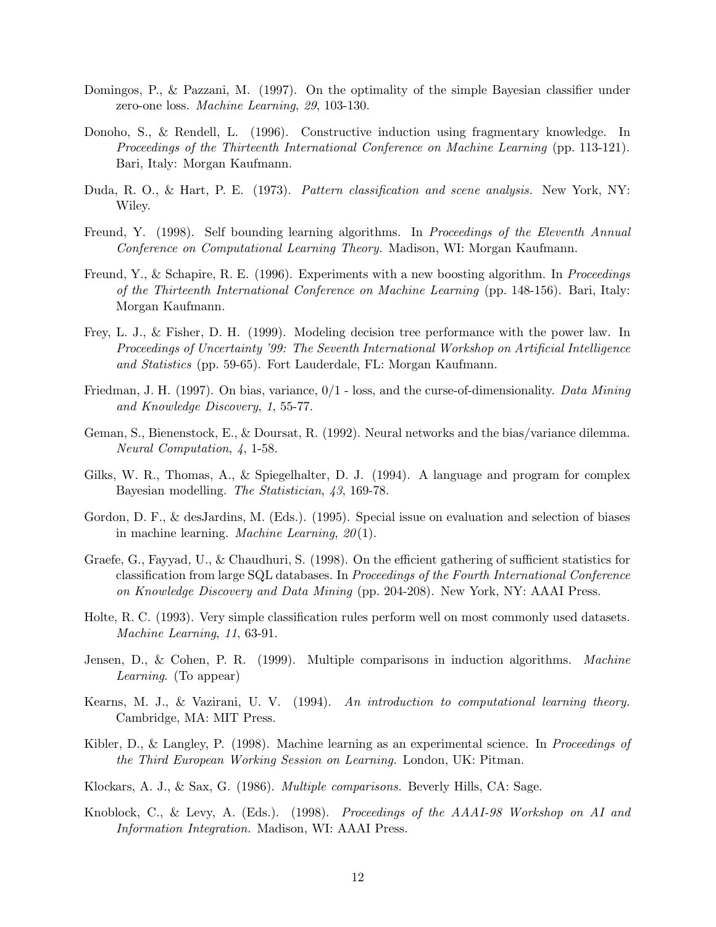- Domingos, P., & Pazzani, M. (1997). On the optimality of the simple Bayesian classifier under zero-one loss. Machine Learning, 29, 103-130.
- Donoho, S., & Rendell, L. (1996). Constructive induction using fragmentary knowledge. In Proceedings of the Thirteenth International Conference on Machine Learning (pp. 113-121). Bari, Italy: Morgan Kaufmann.
- Duda, R. O., & Hart, P. E. (1973). Pattern classification and scene analysis. New York, NY: Wiley.
- Freund, Y. (1998). Self bounding learning algorithms. In Proceedings of the Eleventh Annual Conference on Computational Learning Theory. Madison, WI: Morgan Kaufmann.
- Freund, Y., & Schapire, R. E. (1996). Experiments with a new boosting algorithm. In Proceedings of the Thirteenth International Conference on Machine Learning (pp. 148-156). Bari, Italy: Morgan Kaufmann.
- Frey, L. J., & Fisher, D. H. (1999). Modeling decision tree performance with the power law. In Proceedings of Uncertainty '99: The Seventh International Workshop on Artificial Intelligence and Statistics (pp. 59-65). Fort Lauderdale, FL: Morgan Kaufmann.
- Friedman, J. H. (1997). On bias, variance,  $0/1$  loss, and the curse-of-dimensionality. Data Mining and Knowledge Discovery, 1, 55-77.
- Geman, S., Bienenstock, E., & Doursat, R. (1992). Neural networks and the bias/variance dilemma. Neural Computation, 4, 1-58.
- Gilks, W. R., Thomas, A., & Spiegelhalter, D. J. (1994). A language and program for complex Bayesian modelling. The Statistician, 43, 169-78.
- Gordon, D. F., & desJardins, M. (Eds.). (1995). Special issue on evaluation and selection of biases in machine learning. *Machine Learning*,  $20(1)$ .
- Graefe, G., Fayyad, U., & Chaudhuri, S. (1998). On the efficient gathering of sufficient statistics for classification from large SQL databases. In Proceedings of the Fourth International Conference on Knowledge Discovery and Data Mining (pp. 204-208). New York, NY: AAAI Press.
- Holte, R. C. (1993). Very simple classification rules perform well on most commonly used datasets. Machine Learning, 11, 63-91.
- Jensen, D., & Cohen, P. R. (1999). Multiple comparisons in induction algorithms. Machine Learning. (To appear)
- Kearns, M. J., & Vazirani, U. V. (1994). An introduction to computational learning theory. Cambridge, MA: MIT Press.
- Kibler, D., & Langley, P. (1998). Machine learning as an experimental science. In Proceedings of the Third European Working Session on Learning. London, UK: Pitman.
- Klockars, A. J., & Sax, G. (1986). Multiple comparisons. Beverly Hills, CA: Sage.
- Knoblock, C., & Levy, A. (Eds.). (1998). Proceedings of the AAAI-98 Workshop on AI and Information Integration. Madison, WI: AAAI Press.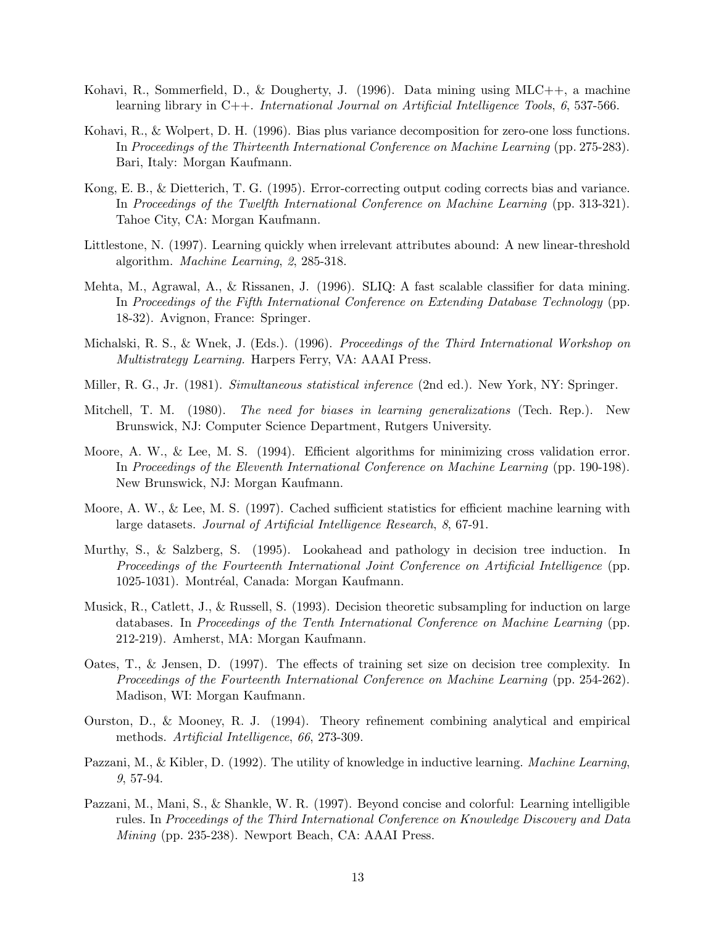- Kohavi, R., Sommerfield, D., & Dougherty, J. (1996). Data mining using MLC++, a machine learning library in C++. International Journal on Artificial Intelligence Tools, 6, 537-566.
- Kohavi, R., & Wolpert, D. H. (1996). Bias plus variance decomposition for zero-one loss functions. In Proceedings of the Thirteenth International Conference on Machine Learning (pp. 275-283). Bari, Italy: Morgan Kaufmann.
- Kong, E. B., & Dietterich, T. G. (1995). Error-correcting output coding corrects bias and variance. In Proceedings of the Twelfth International Conference on Machine Learning (pp. 313-321). Tahoe City, CA: Morgan Kaufmann.
- Littlestone, N. (1997). Learning quickly when irrelevant attributes abound: A new linear-threshold algorithm. Machine Learning, 2, 285-318.
- Mehta, M., Agrawal, A., & Rissanen, J. (1996). SLIQ: A fast scalable classifier for data mining. In Proceedings of the Fifth International Conference on Extending Database Technology (pp. 18-32). Avignon, France: Springer.
- Michalski, R. S., & Wnek, J. (Eds.). (1996). Proceedings of the Third International Workshop on Multistrategy Learning. Harpers Ferry, VA: AAAI Press.
- Miller, R. G., Jr. (1981). Simultaneous statistical inference (2nd ed.). New York, NY: Springer.
- Mitchell, T. M. (1980). The need for biases in learning generalizations (Tech. Rep.). New Brunswick, NJ: Computer Science Department, Rutgers University.
- Moore, A. W., & Lee, M. S. (1994). Efficient algorithms for minimizing cross validation error. In Proceedings of the Eleventh International Conference on Machine Learning (pp. 190-198). New Brunswick, NJ: Morgan Kaufmann.
- Moore, A. W., & Lee, M. S. (1997). Cached sufficient statistics for efficient machine learning with large datasets. Journal of Artificial Intelligence Research, 8, 67-91.
- Murthy, S., & Salzberg, S. (1995). Lookahead and pathology in decision tree induction. In Proceedings of the Fourteenth International Joint Conference on Artificial Intelligence (pp. 1025-1031). Montréal, Canada: Morgan Kaufmann.
- Musick, R., Catlett, J., & Russell, S. (1993). Decision theoretic subsampling for induction on large databases. In Proceedings of the Tenth International Conference on Machine Learning (pp. 212-219). Amherst, MA: Morgan Kaufmann.
- Oates, T., & Jensen, D. (1997). The effects of training set size on decision tree complexity. In Proceedings of the Fourteenth International Conference on Machine Learning (pp. 254-262). Madison, WI: Morgan Kaufmann.
- Ourston, D., & Mooney, R. J. (1994). Theory refinement combining analytical and empirical methods. Artificial Intelligence, 66, 273-309.
- Pazzani, M., & Kibler, D. (1992). The utility of knowledge in inductive learning. Machine Learning, 9, 57-94.
- Pazzani, M., Mani, S., & Shankle, W. R. (1997). Beyond concise and colorful: Learning intelligible rules. In Proceedings of the Third International Conference on Knowledge Discovery and Data Mining (pp. 235-238). Newport Beach, CA: AAAI Press.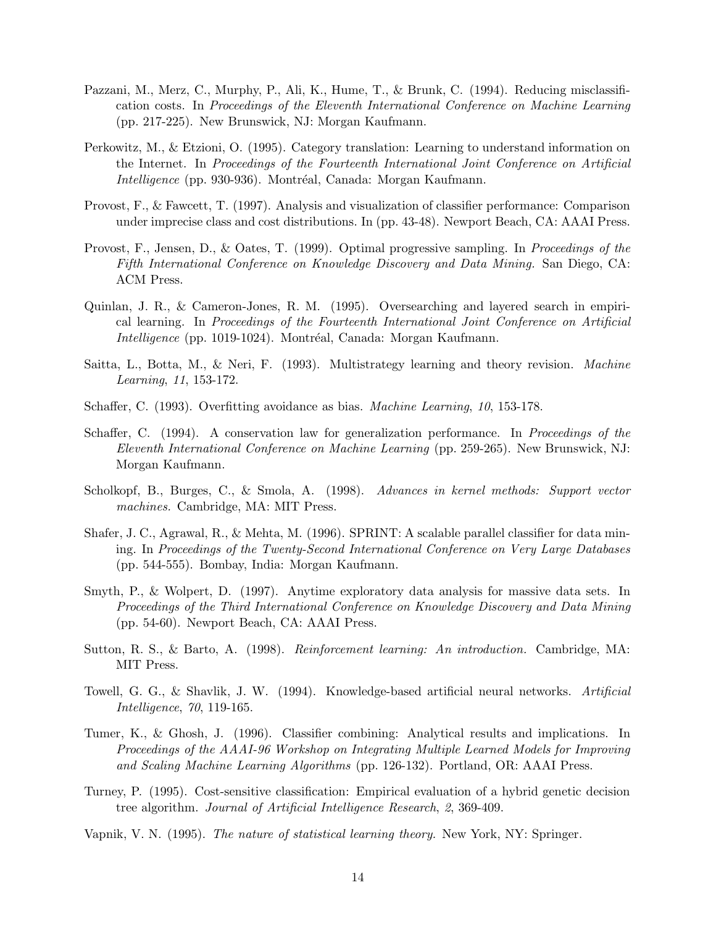- Pazzani, M., Merz, C., Murphy, P., Ali, K., Hume, T., & Brunk, C. (1994). Reducing misclassification costs. In Proceedings of the Eleventh International Conference on Machine Learning (pp. 217-225). New Brunswick, NJ: Morgan Kaufmann.
- Perkowitz, M., & Etzioni, O. (1995). Category translation: Learning to understand information on the Internet. In Proceedings of the Fourteenth International Joint Conference on Artificial Intelligence (pp. 930-936). Montréal, Canada: Morgan Kaufmann.
- Provost, F., & Fawcett, T. (1997). Analysis and visualization of classifier performance: Comparison under imprecise class and cost distributions. In (pp. 43-48). Newport Beach, CA: AAAI Press.
- Provost, F., Jensen, D., & Oates, T. (1999). Optimal progressive sampling. In Proceedings of the Fifth International Conference on Knowledge Discovery and Data Mining. San Diego, CA: ACM Press.
- Quinlan, J. R., & Cameron-Jones, R. M. (1995). Oversearching and layered search in empirical learning. In Proceedings of the Fourteenth International Joint Conference on Artificial Intelligence (pp. 1019-1024). Montréal, Canada: Morgan Kaufmann.
- Saitta, L., Botta, M., & Neri, F. (1993). Multistrategy learning and theory revision. Machine Learning, 11, 153-172.
- Schaffer, C. (1993). Overfitting avoidance as bias. Machine Learning, 10, 153-178.
- Schaffer, C. (1994). A conservation law for generalization performance. In *Proceedings of the* Eleventh International Conference on Machine Learning (pp. 259-265). New Brunswick, NJ: Morgan Kaufmann.
- Scholkopf, B., Burges, C., & Smola, A. (1998). Advances in kernel methods: Support vector machines. Cambridge, MA: MIT Press.
- Shafer, J. C., Agrawal, R., & Mehta, M. (1996). SPRINT: A scalable parallel classifier for data mining. In Proceedings of the Twenty-Second International Conference on Very Large Databases (pp. 544-555). Bombay, India: Morgan Kaufmann.
- Smyth, P., & Wolpert, D. (1997). Anytime exploratory data analysis for massive data sets. In Proceedings of the Third International Conference on Knowledge Discovery and Data Mining (pp. 54-60). Newport Beach, CA: AAAI Press.
- Sutton, R. S., & Barto, A. (1998). Reinforcement learning: An introduction. Cambridge, MA: MIT Press.
- Towell, G. G., & Shavlik, J. W. (1994). Knowledge-based artificial neural networks. Artificial Intelligence, 70, 119-165.
- Tumer, K., & Ghosh, J. (1996). Classifier combining: Analytical results and implications. In Proceedings of the AAAI-96 Workshop on Integrating Multiple Learned Models for Improving and Scaling Machine Learning Algorithms (pp. 126-132). Portland, OR: AAAI Press.
- Turney, P. (1995). Cost-sensitive classification: Empirical evaluation of a hybrid genetic decision tree algorithm. Journal of Artificial Intelligence Research, 2, 369-409.
- Vapnik, V. N. (1995). The nature of statistical learning theory. New York, NY: Springer.